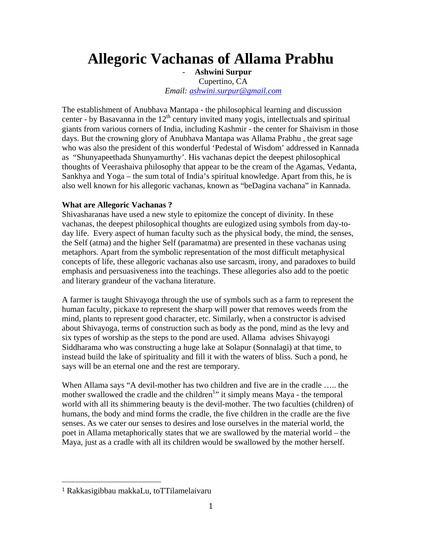## **Allegoric Vachanas of Allama Prabhu**

- **Ashwini Surpur**  Cupertino, CA *Email: ashwini.surpur@gmail.com*

The establishment of Anubhava Mantapa - the philosophical learning and discussion center - by Basavanna in the  $12<sup>th</sup>$  century invited many yogis, intellectuals and spiritual giants from various corners of India, including Kashmir - the center for Shaivism in those days. But the crowning glory of Anubhava Mantapa was Allama Prabhu , the great sage who was also the president of this wonderful 'Pedestal of Wisdom' addressed in Kannada as "Shunyapeethada Shunyamurthy'. His vachanas depict the deepest philosophical thoughts of Veerashaiva philosophy that appear to be the cream of the Agamas, Vedanta, Sankhya and Yoga – the sum total of India's spiritual knowledge. Apart from this, he is also well known for his allegoric vachanas, known as "beDagina vachana" in Kannada.

## **What are Allegoric Vachanas ?**

Shivasharanas have used a new style to epitomize the concept of divinity. In these vachanas, the deepest philosophical thoughts are eulogized using symbols from day-today life. Every aspect of human faculty such as the physical body, the mind, the senses, the Self (atma) and the higher Self (paramatma) are presented in these vachanas using metaphors. Apart from the symbolic representation of the most difficult metaphysical concepts of life, these allegoric vachanas also use sarcasm, irony, and paradoxes to build emphasis and persuasiveness into the teachings. These allegories also add to the poetic and literary grandeur of the vachana literature.

A farmer is taught Shivayoga through the use of symbols such as a farm to represent the human faculty, pickaxe to represent the sharp will power that removes weeds from the mind, plants to represent good character, etc. Similarly, when a constructor is advised about Shivayoga, terms of construction such as body as the pond, mind as the levy and six types of worship as the steps to the pond are used. Allama advises Shivayogi Siddharama who was constructing a huge lake at Solapur (Sonnalagi) at that time, to instead build the lake of spirituality and fill it with the waters of bliss. Such a pond, he says will be an eternal one and the rest are temporary.

When Allama says "A devil-mother has two children and five are in the cradle ….. the mother swallowed the cradle and the children<sup>1</sup>" it simply means Maya - the temporal world with all its shimmering beauty is the devil-mother. The two faculties (children) of humans, the body and mind forms the cradle, the five children in the cradle are the five senses. As we cater our senses to desires and lose ourselves in the material world, the poet in Allama metaphorically states that we are swallowed by the material world – the Maya, just as a cradle with all its children would be swallowed by the mother herself.

<sup>1</sup> Rakkasigibbau makkaLu, toTTilamelaivaru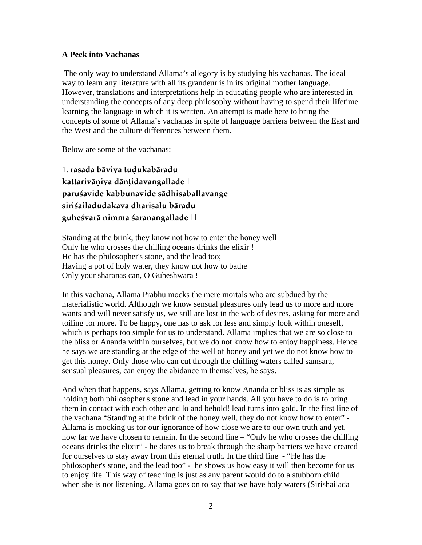## **A Peek into Vachanas**

 The only way to understand Allama's allegory is by studying his vachanas. The ideal way to learn any literature with all its grandeur is in its original mother language. However, translations and interpretations help in educating people who are interested in understanding the concepts of any deep philosophy without having to spend their lifetime learning the language in which it is written. An attempt is made here to bring the concepts of some of Allama's vachanas in spite of language barriers between the East and the West and the culture differences between them.

Below are some of the vachanas:

1. **rasada bäviya tuòukabäradu kattariväëiya dänöidavangallade | paruçavide kabbunavide sädhisaballavange siriçailadudakava dharisalu bäradu guheçvarä nimma çaranangallade ||**

Standing at the brink, they know not how to enter the honey well Only he who crosses the chilling oceans drinks the elixir ! He has the philosopher's stone, and the lead too; Having a pot of holy water, they know not how to bathe Only your sharanas can, O Guheshwara !

In this vachana, Allama Prabhu mocks the mere mortals who are subdued by the materialistic world. Although we know sensual pleasures only lead us to more and more wants and will never satisfy us, we still are lost in the web of desires, asking for more and toiling for more. To be happy, one has to ask for less and simply look within oneself, which is perhaps too simple for us to understand. Allama implies that we are so close to the bliss or Ananda within ourselves, but we do not know how to enjoy happiness. Hence he says we are standing at the edge of the well of honey and yet we do not know how to get this honey. Only those who can cut through the chilling waters called samsara, sensual pleasures, can enjoy the abidance in themselves, he says.

And when that happens, says Allama, getting to know Ananda or bliss is as simple as holding both philosopher's stone and lead in your hands. All you have to do is to bring them in contact with each other and lo and behold! lead turns into gold. In the first line of the vachana "Standing at the brink of the honey well, they do not know how to enter" - Allama is mocking us for our ignorance of how close we are to our own truth and yet, how far we have chosen to remain. In the second line – "Only he who crosses the chilling oceans drinks the elixir" - he dares us to break through the sharp barriers we have created for ourselves to stay away from this eternal truth. In the third line - "He has the philosopher's stone, and the lead too" - he shows us how easy it will then become for us to enjoy life. This way of teaching is just as any parent would do to a stubborn child when she is not listening. Allama goes on to say that we have holy waters (Sirishailada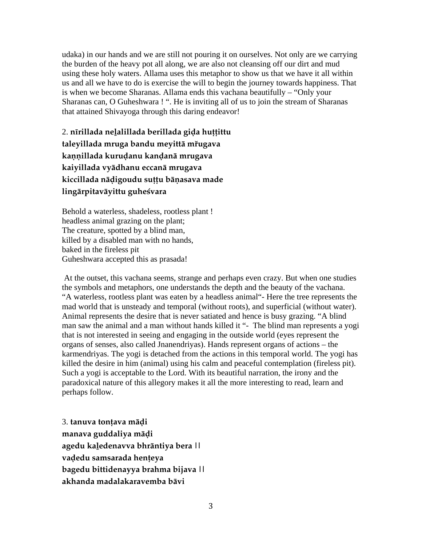udaka) in our hands and we are still not pouring it on ourselves. Not only are we carrying the burden of the heavy pot all along, we are also not cleansing off our dirt and mud using these holy waters. Allama uses this metaphor to show us that we have it all within us and all we have to do is exercise the will to begin the journey towards happiness. That is when we become Sharanas. Allama ends this vachana beautifully – "Only your Sharanas can, O Guheshwara ! ". He is inviting all of us to join the stream of Sharanas that attained Shivayoga through this daring endeavor!

2. **nīrillada neļalillada berillada gida huttittu taleyillada mruga bandu meyittä mõugava**  kannillada kurudanu kandanā mrugava **kaiyillada vyädhanu eccanä mrugava**  kiccillada nādigoudu suttu bāņasava made **lingärpitaväyittu guheçvara**

Behold a waterless, shadeless, rootless plant ! headless animal grazing on the plant; The creature, spotted by a blind man, killed by a disabled man with no hands, baked in the fireless pit Guheshwara accepted this as prasada!

 At the outset, this vachana seems, strange and perhaps even crazy. But when one studies the symbols and metaphors, one understands the depth and the beauty of the vachana. "A waterless, rootless plant was eaten by a headless animal"- Here the tree represents the mad world that is unsteady and temporal (without roots), and superficial (without water). Animal represents the desire that is never satiated and hence is busy grazing. "A blind man saw the animal and a man without hands killed it "- The blind man represents a yogi that is not interested in seeing and engaging in the outside world (eyes represent the organs of senses, also called Jnanendriyas). Hands represent organs of actions – the karmendriyas. The yogi is detached from the actions in this temporal world. The yogi has killed the desire in him (animal) using his calm and peaceful contemplation (fireless pit). Such a yogi is acceptable to the Lord. With its beautiful narration, the irony and the paradoxical nature of this allegory makes it all the more interesting to read, learn and perhaps follow.

3. tanuva tonțava mādi **manava guddaliya mäòi agedu kaøedenavva bhräntiya bera || vaòedu samsarada henöeya bagedu bittidenayya brahma bijava || akhanda madalakaravemba bävi**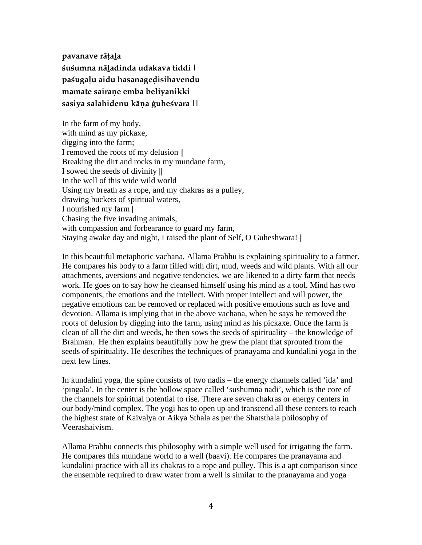pavanave rāțala **çuçumna näøadinda udakava tiddi |**  paśugalu aidu hasanagedisihavendu **mamate sairaëe emba beliyanikki**  sasiya salahidenu kāna ģuheśvara ||

In the farm of my body, with mind as my pickaxe, digging into the farm; I removed the roots of my delusion || Breaking the dirt and rocks in my mundane farm, I sowed the seeds of divinity || In the well of this wide wild world Using my breath as a rope, and my chakras as a pulley, drawing buckets of spiritual waters, I nourished my farm | Chasing the five invading animals, with compassion and forbearance to guard my farm, Staying awake day and night, I raised the plant of Self, O Guheshwara! ||

In this beautiful metaphoric vachana, Allama Prabhu is explaining spirituality to a farmer. He compares his body to a farm filled with dirt, mud, weeds and wild plants. With all our attachments, aversions and negative tendencies, we are likened to a dirty farm that needs work. He goes on to say how he cleansed himself using his mind as a tool. Mind has two components, the emotions and the intellect. With proper intellect and will power, the negative emotions can be removed or replaced with positive emotions such as love and devotion. Allama is implying that in the above vachana, when he says he removed the roots of delusion by digging into the farm, using mind as his pickaxe. Once the farm is clean of all the dirt and weeds, he then sows the seeds of spirituality – the knowledge of Brahman. He then explains beautifully how he grew the plant that sprouted from the seeds of spirituality. He describes the techniques of pranayama and kundalini yoga in the next few lines.

In kundalini yoga, the spine consists of two nadis – the energy channels called 'ida' and 'pingala'. In the center is the hollow space called 'sushumna nadi', which is the core of the channels for spiritual potential to rise. There are seven chakras or energy centers in our body/mind complex. The yogi has to open up and transcend all these centers to reach the highest state of Kaivalya or Aikya Sthala as per the Shatsthala philosophy of Veerashaivism.

Allama Prabhu connects this philosophy with a simple well used for irrigating the farm. He compares this mundane world to a well (baavi). He compares the pranayama and kundalini practice with all its chakras to a rope and pulley. This is a apt comparison since the ensemble required to draw water from a well is similar to the pranayama and yoga